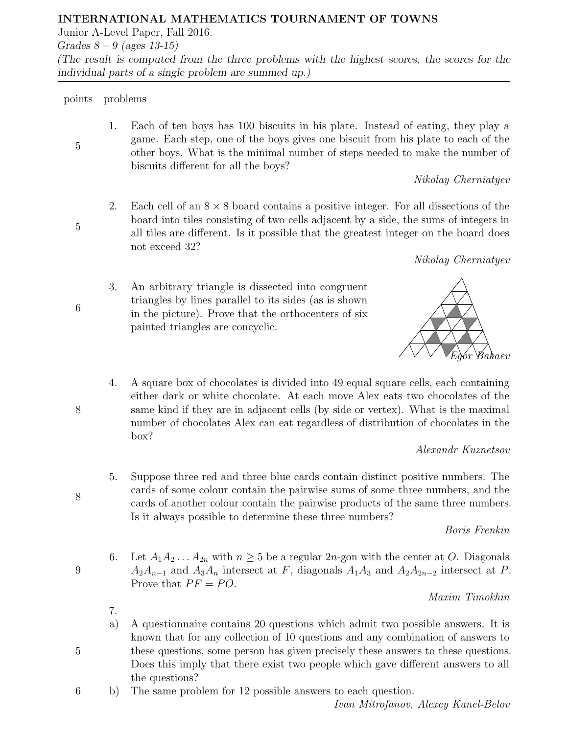## INTERNATIONAL MATHEMATICS TOURNAMENT OF TOWNS

Junior A-Level Paper, Fall 2016.

Grades  $8 - 9$  (ages 13-15) (The result is computed from the three problems with the highest scores, the scores for the individual parts of a single problem are summed up.)

# points problems

1. Each of ten boys has 100 biscuits in his plate. Instead of eating, they play a game. Each step, one of the boys gives one biscuit from his plate to each of the other boys. What is the minimal number of steps needed to make the number of biscuits different for all the boys?

Nikolay Cherniatyev

2. Each cell of an  $8 \times 8$  board contains a positive integer. For all dissections of the board into tiles consisting of two cells adjacent by a side, the sums of integers in all tiles are different. Is it possible that the greatest integer on the board does not exceed 32?

Nikolay Cherniatyev

3. An arbitrary triangle is dissected into congruent triangles by lines parallel to its sides (as is shown in the picture). Prove that the orthocenters of six painted triangles are concyclic.



4. A square box of chocolates is divided into 49 equal square cells, each containing either dark or white chocolate. At each move Alex eats two chocolates of the same kind if they are in adjacent cells (by side or vertex). What is the maximal number of chocolates Alex can eat regardless of distribution of chocolates in the box?

## Alexandr Kuznetsov

5. Suppose three red and three blue cards contain distinct positive numbers. The cards of some colour contain the pairwise sums of some three numbers, and the cards of another colour contain the pairwise products of the same three numbers. Is it always possible to determine these three numbers?

Boris Frenkin

6. Let  $A_1A_2...A_{2n}$  with  $n \geq 5$  be a regular  $2n$ -gon with the center at O. Diagonals  $A_2A_{n-1}$  and  $A_3A_n$  intersect at F, diagonals  $A_1A_3$  and  $A_2A_{2n-2}$  intersect at P. Prove that  $PF = PO$ .

Maxim Timokhin

- 7.
- a) A questionnaire contains 20 questions which admit two possible answers. It is known that for any collection of 10 questions and any combination of answers to these questions, some person has given precisely these answers to these questions. Does this imply that there exist two people which gave different answers to all the questions?
- 6 b) The same problem for 12 possible answers to each question.

Ivan Mitrofanov, Alexey Kanel-Belov

5

6

8

8

9

5

5